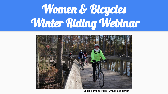# Women & Bicycles Winter Riding Webinar



Slides content credit - Ursula Sandstrom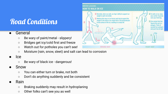### Road Conditions

#### ● General

- Be wary of paint/metal slippery!
- Bridges get icy/cold first and freeze
- Watch out for potholes you can't see!
- Moisture (rain, snow, sleet) and salt can lead to corrosion

#### ● Ice

- Be wary of black ice dangerous!
- **Snow** 
	- You can either turn or brake, not both
	- Don't do anything suddenly and be consistent

#### **Rain**

- Braking suddenly may result in hydroplaning
- Other folks can't see you as well

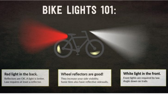## **BIKE LIGHTS 101:**

#### Red light in the back.

Reflectors are OK. A light is better. Law requires at least a reflector.

#### Wheel reflectors are good!

They increase your side visibility. Some tires also have reflective sidewalls.

#### White light in the front.

Front lights are required by law. Angle down on trails.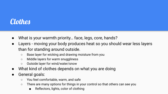### **Clothes**

- What is your warmth priority… face, legs, core, hands?
- Layers moving your body produces heat so you should wear less layers than for standing around outside.
	- Base layer for wicking and drawing moisture from you
	- Middle layers for warm snuggliness
	- Outside layer for wind/water/snow
- What kind of clothes depends on what you are doing
- General goals:
	- You feel comfortable, warm, and safe
	- There are many options for things in your control so that others can see you
		- Reflectors, lights, color of clothing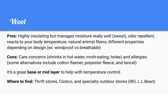#### Wool

**Pros:** Highly insulating but manages moisture really well (sweat), odor repellent, reacts to your body temperature, natural animal fibers, different properties depending on design (ex: windproof vs breathable)

**Cons:** Care concerns (shrinks in hot water, moth-eating, holes) and allergies (some alternatives include cotton flannel, polyester fleece, and tencel)

It's a great **base or mid layer** to help with temperature control.

**Where to find:** Thrift stores, Costco, and specialty outdoor stores (REI, L.L.Bean)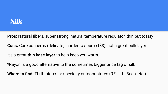

**Pros:** Natural fibers, super strong, natural temperature regulator, thin but toasty

**Cons:** Care concerns (delicate), harder to source (\$\$), not a great bulk layer

It's a great **thin base layer** to help keep you warm.

\*Rayon is a good alternative to the sometimes bigger price tag of silk

**Where to find:** Thrift stores or specialty outdoor stores (REI, L.L. Bean, etc.)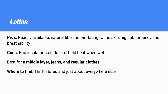

**Pros:** Readily available, natural fiber, non-irritating to the skin, high absorbency and breathability

**Cons:** Bad insulator so it doesn't hold heat when wet

Best for a **middle layer, jeans, and regular clothes**

**Where to find:** Thrift stores and just about everywhere else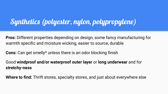### Synthetics (polyester, nylon, polypropylene)

**Pros:** Different properties depending on design, some fancy manufacturing for warmth specific and moisture wicking, easier to source, durable

**Cons:** Can get smelly\* unless there is an odor blocking finish

Good **windproof and/or waterproof outer layer** or **long underwear** and for **stretchy-ness**

**Where to find:** Thrift stores, specialty stores, and just about everywhere else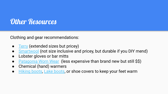### Other Resources

Clothing and gear recommendations:

- **[Terry](https://www.terrybicycles.com/) (extended sizes but pricey)**
- **[Smartwool](https://www.smartwool.com/) (not size inclusive and pricey, but durable if you DIY mend)**
- Lobster gloves or bar mitts
- **[Patagonia Worn Wear](https://wornwear.patagonia.com/) (less expensive than brand new but still \$\$)**
- Chemical (hand) warmers
- [Hiking boots,](https://www.outsideonline.com/2403431/best-winter-hiking-boots-2020) [Lake boots](https://lakecycling.com/collections/cold), or shoe covers to keep your feet warm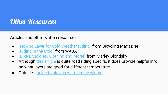### Other Resources

Articles and other written resources:

- ["How to Layer for Cold-Weather Riding"](https://www.bicycling.com/rides/a20024730/your-cold-weather-layering-guide/?fbclid=IwAR1Y9jr0L0gaRmZcVN8bEOS61HPSwR2aeNzbAUgfe82fQJzC3xwnC3sN1ho) from Bicycling Magazine
- ["Riding in the Cold"](https://waba.org/blog/2017/11/winter-layering/) from WABA
- ["Bikes, Saddles, Clothing and More!"](http://lifeontwowheels.space/gear-recs) from Marley Blondsky
- Although [this article](https://www.roadbikerider.com/what-to-wear-in-various-weather-2/) is quite road riding specific it does provide helpful info on what layers are good for different temperature
- Outside's [guide to staying warm in the winter](https://www.outsideonline.com/2419441/beginners-guide-staying-warm-outside)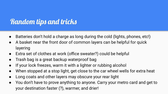### Random tips and tricks

- Batteries don't hold a charge as long during the cold (lights, phones, etc!)
- A basket near the front door of common layers can be helpful for quick layering
- Extra set of clothes at work (office sweater?) could be helpful
- Trash bag is a great backup waterproof bag
- If your lock freezes, warm it with a lighter or rubbing alcohol
- When stopped at a stop light, get close to the car wheel wells for extra heat
- Long coats and other layers may obscure your rear light
- You don't have to prove anything to anyone. Carry your metro card and get to your destination faster (?), warmer, and drier!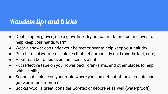### Random tips and tricks

- Double up on gloves, use a glove liner, try out bar mitts or lobster gloves to help keep your hands warm
- Wear a shower cap under your helmet or over to help keep your hair dry
- Put chemical warmers in places that get particularly cold (hands, feet, core)
- A buff can be folded over and used as a hat
- Put reflective tape on your lower back, crankarms, and other places to help with visibility
- Scope out a place on your route where you can get out of the elements and get warm for a moment
- Socks! Wool is great, consider Goretex or neoprene as well (waterproof!)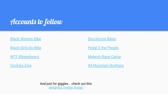### Accounts to follow

[Black Women Bike](https://www.facebook.com/blackwomenbikedc)

[Black Girls Do Bike](https://www.facebook.com/blackgirlsdobike/)

[WTF Bikexplorers](https://wtfbikexplorers.com/)

[Cyclista Zine](https://www.instagram.com/cyclista_zine/)

[Decolonize Bikes](https://www.instagram.com/decolonizebikes/)

[Pedal 2 the People](https://www.instagram.com/pedal2thepeople/)

[Melanin Base Camp](https://www.instagram.com/melaninbasecamp/)

[All Mountain Brothers](https://www.instagram.com/allmountainbrothers/)

And just for giggles... check out this [delightful Twitter thread](https://twitter.com/BlairBraverman/status/1334163443415441409)